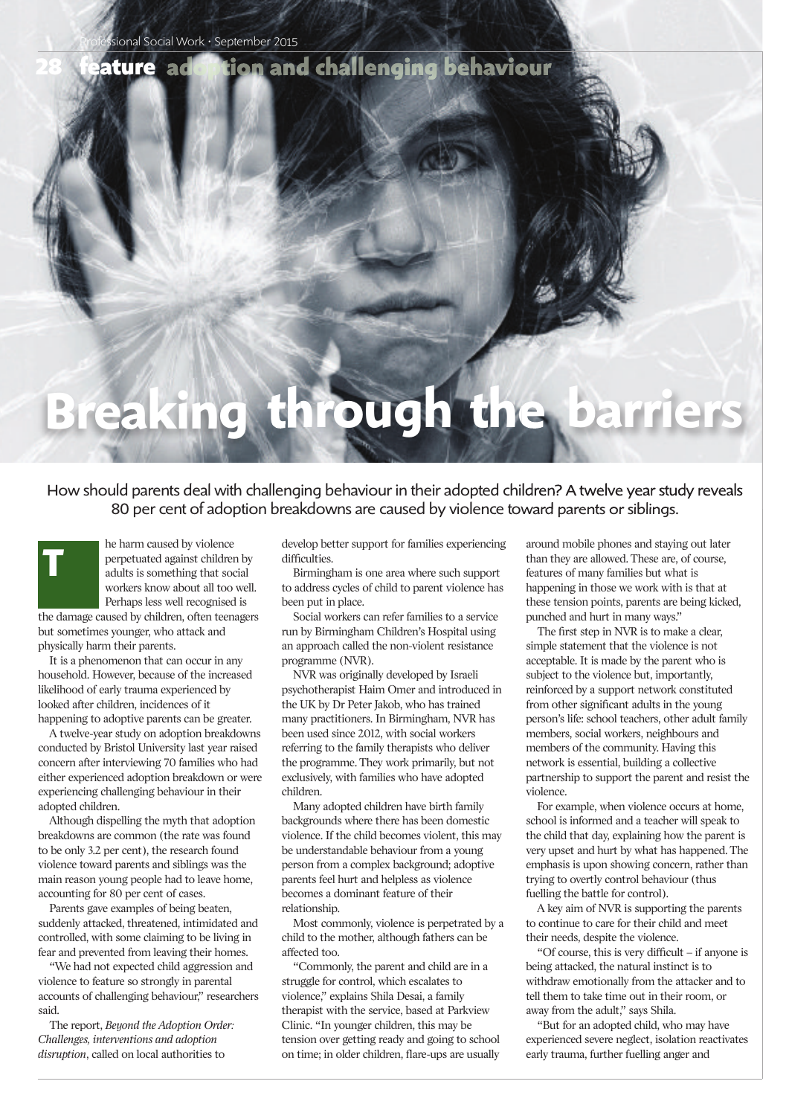### tion and challenging behaviour ature ad

# **Breaking through the barriers**

How should parents deal with challenging behaviour in their adopted children? A twelve year study reveals 80 per cent of adoption breakdowns are caused by violence toward parents or siblings.

he harm caused by violence perpetuated against children by adults is something that social workers know about all too well. Perhaps less well recognised is

the damage caused by children, often teenagers but sometimes younger, who attack and physically harm their parents.

**T**

**28**

It is a phenomenon that can occur in any household. However, because of the increased likelihood of early trauma experienced by looked after children, incidences of it happening to adoptive parents can be greater.

A twelve-year study on adoption breakdowns conducted by Bristol University last year raised concern after interviewing 70 families who had either experienced adoption breakdown or were experiencing challenging behaviour in their adopted children.

Although dispelling the myth that adoption breakdowns are common (the rate was found to be only 3.2 per cent), the research found violence toward parents and siblings was the main reason young people had to leave home, accounting for 80 per cent of cases.

Parents gave examples of being beaten, suddenly attacked, threatened, intimidated and controlled, with some claiming to be living in fear and prevented from leaving their homes.

"We had not expected child aggression and violence to feature so strongly in parental accounts of challenging behaviour," researchers said.

The report, *Beyond the Adoption Order: Challenges, interventions and adoption disruption*, called on local authorities to

develop better support for families experiencing difficulties.

Birmingham is one area where such support to address cycles of child to parent violence has been put in place.

Social workers can refer families to a service run by Birmingham Children's Hospital using an approach called the non-violent resistance programme (NVR).

NVR was originally developed by Israeli psychotherapist Haim Omer and introduced in the UK by Dr Peter Jakob, who has trained many practitioners. In Birmingham, NVR has been used since 2012, with social workers referring to the family therapists who deliver the programme. They work primarily, but not exclusively, with families who have adopted children.

Many adopted children have birth family backgrounds where there has been domestic violence. If the child becomes violent, this may be understandable behaviour from a young person from a complex background; adoptive parents feel hurt and helpless as violence becomes a dominant feature of their relationship.

Most commonly, violence is perpetrated by a child to the mother, although fathers can be affected too.

"Commonly, the parent and child are in a struggle for control, which escalates to violence," explains Shila Desai, a family therapist with the service, based at Parkview Clinic. "In younger children, this may be tension over getting ready and going to school on time; in older children, flare-ups are usually

around mobile phones and staying out later than they are allowed. These are, of course, features of many families but what is happening in those we work with is that at these tension points, parents are being kicked, punched and hurt in many ways."

The first step in NVR is to make a clear, simple statement that the violence is not acceptable. It is made by the parent who is subject to the violence but, importantly, reinforced by a support network constituted from other significant adults in the young person's life: school teachers, other adult family members, social workers, neighbours and members of the community. Having this network is essential, building a collective partnership to support the parent and resist the violence.

For example, when violence occurs at home, school is informed and a teacher will speak to the child that day, explaining how the parent is very upset and hurt by what has happened. The emphasis is upon showing concern, rather than trying to overtly control behaviour (thus fuelling the battle for control).

A key aim of NVR is supporting the parents to continue to care for their child and meet their needs, despite the violence.

"Of course, this is very difficult – if anyone is being attacked, the natural instinct is to withdraw emotionally from the attacker and to tell them to take time out in their room, or away from the adult," says Shila.

"But for an adopted child, who may have experienced severe neglect, isolation reactivates early trauma, further fuelling anger and